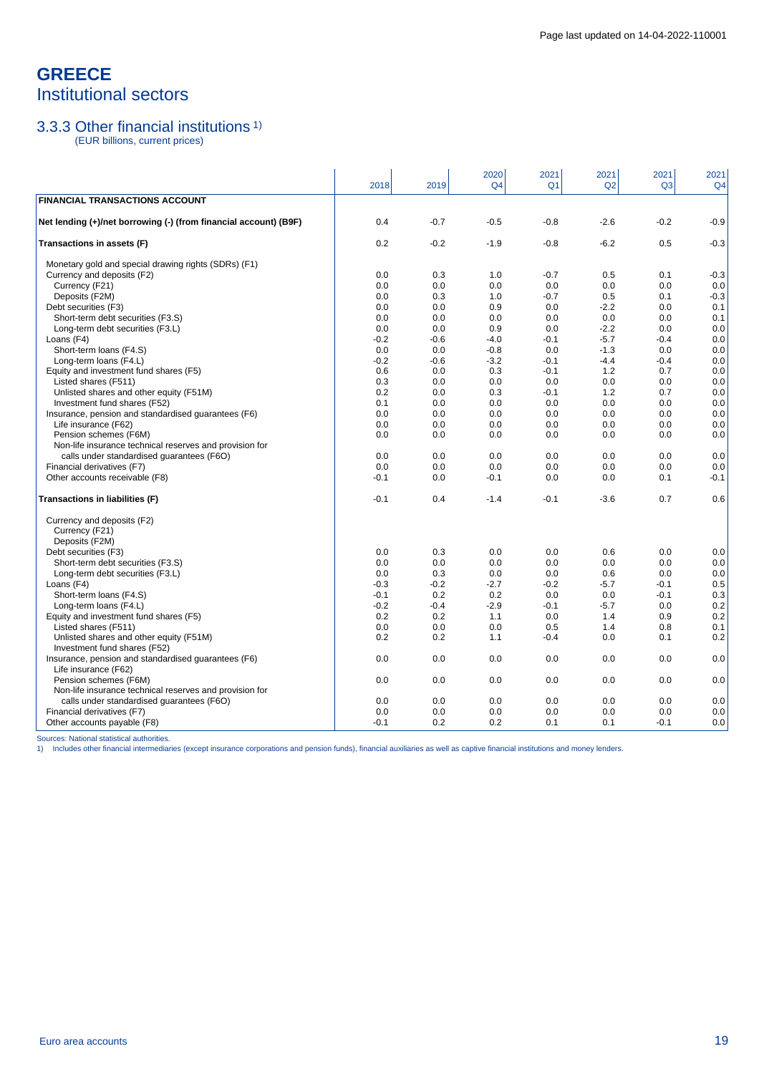# **GREECE** Institutional sectors

### 3.3.3 Other financial institutions 1)

(EUR billions, current prices)

|                                                                  | 2018   | 2019   | 2020<br>Q <sub>4</sub> | 2021<br>Q <sub>1</sub> | 2021<br>Q2 | 2021<br>Q <sub>3</sub> | 2021<br>Q <sub>4</sub> |
|------------------------------------------------------------------|--------|--------|------------------------|------------------------|------------|------------------------|------------------------|
| <b>FINANCIAL TRANSACTIONS ACCOUNT</b>                            |        |        |                        |                        |            |                        |                        |
| Net lending (+)/net borrowing (-) (from financial account) (B9F) | 0.4    | $-0.7$ | $-0.5$                 | $-0.8$                 | $-2.6$     | $-0.2$                 | $-0.9$                 |
| Transactions in assets (F)                                       | 0.2    | $-0.2$ | $-1.9$                 | $-0.8$                 | $-6.2$     | 0.5                    | $-0.3$                 |
| Monetary gold and special drawing rights (SDRs) (F1)             |        |        |                        |                        |            |                        |                        |
| Currency and deposits (F2)                                       | 0.0    | 0.3    | 1.0                    | $-0.7$                 | 0.5        | 0.1                    | $-0.3$                 |
| Currency (F21)                                                   | 0.0    | 0.0    | 0.0                    | 0.0                    | 0.0        | 0.0                    | 0.0                    |
| Deposits (F2M)                                                   | 0.0    | 0.3    | 1.0                    | $-0.7$                 | 0.5        | 0.1                    | $-0.3$                 |
| Debt securities (F3)                                             | 0.0    | 0.0    | 0.9                    | 0.0                    | $-2.2$     | 0.0                    | 0.1                    |
| Short-term debt securities (F3.S)                                | 0.0    | 0.0    | 0.0                    | 0.0                    | 0.0        | 0.0                    | 0.1                    |
| Long-term debt securities (F3.L)                                 | 0.0    | 0.0    | 0.9                    | 0.0                    | $-2.2$     | 0.0                    | 0.0                    |
| Loans (F4)                                                       | $-0.2$ | $-0.6$ | $-4.0$                 | $-0.1$                 | $-5.7$     | $-0.4$                 | 0.0                    |
| Short-term loans (F4.S)                                          | 0.0    | 0.0    | $-0.8$                 | 0.0                    | $-1.3$     | 0.0                    | 0.0                    |
| Long-term loans (F4.L)                                           | $-0.2$ | $-0.6$ | $-3.2$                 | $-0.1$                 | $-4.4$     | $-0.4$                 | 0.0                    |
| Equity and investment fund shares (F5)                           | 0.6    | 0.0    | 0.3                    | $-0.1$                 | 1.2        | 0.7                    | 0.0                    |
| Listed shares (F511)                                             | 0.3    | 0.0    | 0.0                    | 0.0                    | 0.0        | 0.0                    | 0.0                    |
| Unlisted shares and other equity (F51M)                          | 0.2    | 0.0    | 0.3                    | $-0.1$                 | 1.2        | 0.7                    | 0.0                    |
| Investment fund shares (F52)                                     | 0.1    | 0.0    | 0.0                    | 0.0                    | 0.0        | 0.0                    | 0.0                    |
| Insurance, pension and standardised guarantees (F6)              | 0.0    | 0.0    | 0.0                    | 0.0                    | 0.0        | 0.0                    | 0.0                    |
| Life insurance (F62)                                             | 0.0    | 0.0    | 0.0                    | 0.0                    | 0.0        | 0.0                    | 0.0                    |
| Pension schemes (F6M)                                            | 0.0    | 0.0    | 0.0                    | 0.0                    | 0.0        | 0.0                    | 0.0                    |
| Non-life insurance technical reserves and provision for          |        |        |                        |                        |            |                        |                        |
| calls under standardised quarantees (F6O)                        | 0.0    | 0.0    | 0.0                    | 0.0                    | 0.0        | 0.0                    | 0.0                    |
| Financial derivatives (F7)                                       | 0.0    | 0.0    | 0.0                    | 0.0                    | 0.0        | 0.0                    | 0.0                    |
| Other accounts receivable (F8)                                   | $-0.1$ | 0.0    | $-0.1$                 | 0.0                    | 0.0        | 0.1                    | $-0.1$                 |
| Transactions in liabilities (F)                                  | $-0.1$ | 0.4    | $-1.4$                 | $-0.1$                 | $-3.6$     | 0.7                    | 0.6                    |
| Currency and deposits (F2)                                       |        |        |                        |                        |            |                        |                        |
| Currency (F21)                                                   |        |        |                        |                        |            |                        |                        |
| Deposits (F2M)                                                   |        |        |                        |                        |            |                        |                        |
| Debt securities (F3)                                             | 0.0    | 0.3    | 0.0                    | 0.0                    | 0.6        | 0.0                    | 0.0                    |
| Short-term debt securities (F3.S)                                | 0.0    | 0.0    | 0.0                    | 0.0                    | 0.0        | 0.0                    | 0.0                    |
| Long-term debt securities (F3.L)                                 | 0.0    | 0.3    | 0.0                    | 0.0                    | 0.6        | 0.0                    | 0.0                    |
| Loans (F4)                                                       | $-0.3$ | $-0.2$ | $-2.7$                 | $-0.2$                 | $-5.7$     | $-0.1$                 | 0.5                    |
| Short-term loans (F4.S)                                          | $-0.1$ | 0.2    | 0.2                    | 0.0                    | 0.0        | $-0.1$                 | 0.3                    |
| Long-term loans (F4.L)                                           | $-0.2$ | $-0.4$ | $-2.9$                 | $-0.1$                 | $-5.7$     | 0.0                    | 0.2                    |
| Equity and investment fund shares (F5)                           | 0.2    | 0.2    | 1.1                    | 0.0                    | 1.4        | 0.9                    | 0.2                    |
| Listed shares (F511)                                             | 0.0    | 0.0    | 0.0                    | 0.5                    | 1.4        | 0.8                    | 0.1                    |
| Unlisted shares and other equity (F51M)                          | 0.2    | 0.2    | 1.1                    | $-0.4$                 | 0.0        | 0.1                    | 0.2                    |
| Investment fund shares (F52)                                     |        |        |                        |                        |            |                        |                        |
| Insurance, pension and standardised guarantees (F6)              | 0.0    | 0.0    | 0.0                    | 0.0                    | 0.0        | 0.0                    | 0.0                    |
| Life insurance (F62)                                             |        |        |                        |                        |            |                        |                        |
| Pension schemes (F6M)                                            | 0.0    | 0.0    | 0.0                    | 0.0                    | 0.0        | 0.0                    | 0.0                    |
| Non-life insurance technical reserves and provision for          |        |        |                        |                        |            |                        |                        |
| calls under standardised guarantees (F6O)                        | 0.0    | 0.0    | 0.0                    | 0.0                    | 0.0        | 0.0                    | 0.0                    |
| Financial derivatives (F7)                                       | 0.0    | 0.0    | 0.0                    | 0.0                    | 0.0        | 0.0                    | 0.0                    |
| Other accounts payable (F8)                                      | -0.1   | 0.2    | 0.2                    | 0.1                    | 0.1        | $-0.1$                 | 0.0                    |

Sources: National statistical authorities.<br>1) Includes other financial intermediaries (except insurance corporations and pension funds), financial auxiliaries as well as captive financial institutions and money lenders.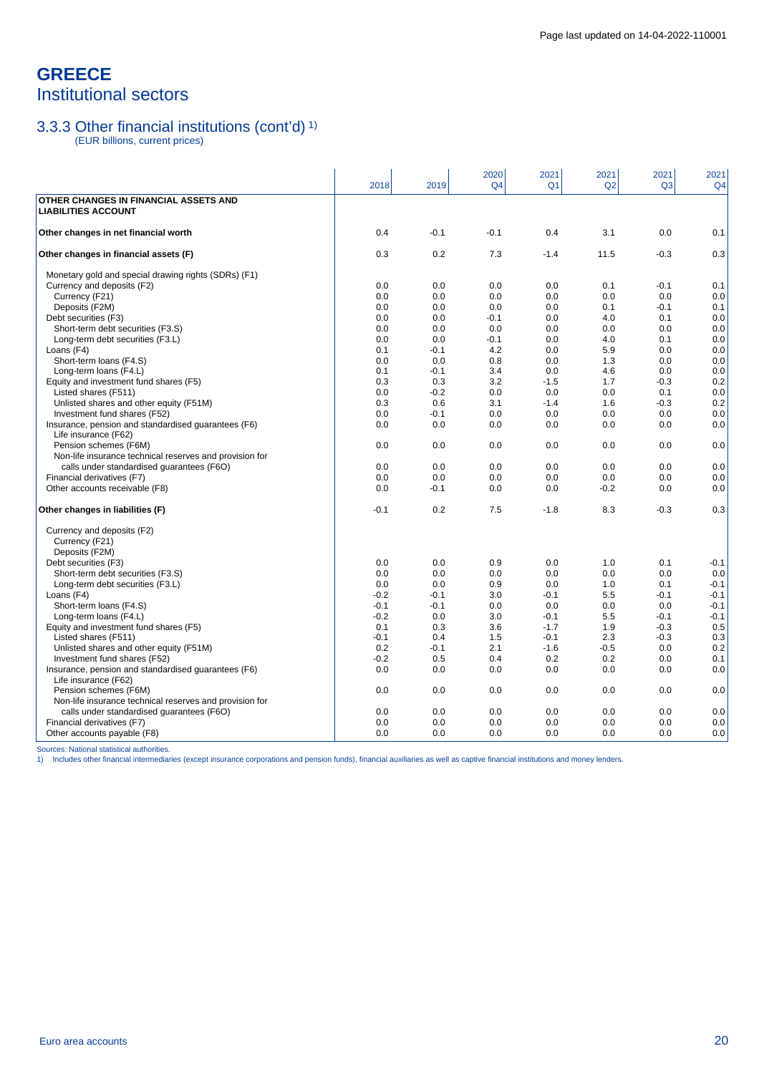## **GREECE** Institutional sectors

### 3.3.3 Other financial institutions (cont'd) 1)

(EUR billions, current prices)

|                                                                                  | 2018       | 2019          | 2020<br>Q <sub>4</sub> | 2021<br>Q <sub>1</sub> | 2021<br>Q2 | 2021<br>Q <sub>3</sub> | 2021<br>Q <sub>4</sub> |
|----------------------------------------------------------------------------------|------------|---------------|------------------------|------------------------|------------|------------------------|------------------------|
| OTHER CHANGES IN FINANCIAL ASSETS AND<br><b>LIABILITIES ACCOUNT</b>              |            |               |                        |                        |            |                        |                        |
| Other changes in net financial worth                                             | 0.4        | $-0.1$        | $-0.1$                 | 0.4                    | 3.1        | 0.0                    | 0.1                    |
| Other changes in financial assets (F)                                            | 0.3        | 0.2           | 7.3                    | $-1.4$                 | 11.5       | $-0.3$                 | 0.3                    |
| Monetary gold and special drawing rights (SDRs) (F1)                             |            |               |                        |                        |            |                        |                        |
| Currency and deposits (F2)                                                       | 0.0        | 0.0           | 0.0                    | 0.0                    | 0.1        | $-0.1$                 | 0.1                    |
| Currency (F21)                                                                   | 0.0        | 0.0           | 0.0                    | 0.0                    | 0.0        | 0.0                    | 0.0                    |
| Deposits (F2M)                                                                   | 0.0        | 0.0           | 0.0                    | 0.0                    | 0.1        | $-0.1$                 | 0.1                    |
| Debt securities (F3)                                                             | 0.0        | 0.0           | $-0.1$                 | 0.0                    | 4.0        | 0.1                    | 0.0                    |
| Short-term debt securities (F3.S)                                                | 0.0        | 0.0           | 0.0                    | 0.0                    | 0.0        | 0.0                    | 0.0                    |
| Long-term debt securities (F3.L)<br>Loans (F4)                                   | 0.0<br>0.1 | 0.0<br>$-0.1$ | $-0.1$<br>4.2          | 0.0<br>0.0             | 4.0<br>5.9 | 0.1<br>0.0             | 0.0<br>0.0             |
| Short-term loans (F4.S)                                                          | 0.0        | 0.0           | 0.8                    | 0.0                    | 1.3        | 0.0                    | 0.0                    |
| Long-term loans (F4.L)                                                           | 0.1        | $-0.1$        | 3.4                    | 0.0                    | 4.6        | 0.0                    | 0.0                    |
| Equity and investment fund shares (F5)                                           | 0.3        | 0.3           | 3.2                    | $-1.5$                 | 1.7        | $-0.3$                 | 0.2                    |
| Listed shares (F511)                                                             | 0.0        | $-0.2$        | 0.0                    | 0.0                    | 0.0        | 0.1                    | 0.0                    |
| Unlisted shares and other equity (F51M)                                          | 0.3        | 0.6           | 3.1                    | $-1.4$                 | 1.6        | $-0.3$                 | 0.2                    |
| Investment fund shares (F52)                                                     | 0.0        | $-0.1$        | 0.0                    | 0.0                    | 0.0        | 0.0                    | 0.0                    |
| Insurance, pension and standardised guarantees (F6)<br>Life insurance (F62)      | 0.0        | 0.0           | 0.0                    | 0.0                    | 0.0        | 0.0                    | 0.0                    |
| Pension schemes (F6M)                                                            | 0.0        | 0.0           | 0.0                    | 0.0                    | 0.0        | 0.0                    | 0.0                    |
| Non-life insurance technical reserves and provision for                          |            |               |                        |                        |            |                        |                        |
| calls under standardised guarantees (F6O)                                        | 0.0        | 0.0           | 0.0                    | 0.0                    | 0.0        | 0.0                    | 0.0                    |
| Financial derivatives (F7)                                                       | 0.0        | 0.0           | 0.0                    | 0.0                    | 0.0        | 0.0                    | 0.0                    |
| Other accounts receivable (F8)                                                   | 0.0        | $-0.1$        | 0.0                    | 0.0                    | $-0.2$     | 0.0                    | 0.0                    |
| Other changes in liabilities (F)                                                 | $-0.1$     | 0.2           | 7.5                    | $-1.8$                 | 8.3        | $-0.3$                 | 0.3                    |
| Currency and deposits (F2)<br>Currency (F21)                                     |            |               |                        |                        |            |                        |                        |
| Deposits (F2M)                                                                   |            |               |                        |                        |            |                        |                        |
| Debt securities (F3)                                                             | 0.0        | 0.0           | 0.9                    | 0.0                    | 1.0        | 0.1                    | $-0.1$                 |
| Short-term debt securities (F3.S)                                                | 0.0        | 0.0           | 0.0                    | 0.0                    | 0.0        | 0.0                    | 0.0                    |
| Long-term debt securities (F3.L)                                                 | 0.0        | 0.0           | 0.9                    | 0.0                    | 1.0        | 0.1                    | $-0.1$                 |
| Loans (F4)                                                                       | $-0.2$     | $-0.1$        | 3.0                    | $-0.1$                 | 5.5        | $-0.1$                 | $-0.1$                 |
| Short-term loans (F4.S)                                                          | $-0.1$     | $-0.1$        | 0.0                    | 0.0                    | 0.0        | 0.0                    | $-0.1$                 |
| Long-term loans (F4.L)                                                           | $-0.2$     | 0.0           | 3.0                    | $-0.1$                 | 5.5        | $-0.1$                 | $-0.1$                 |
| Equity and investment fund shares (F5)                                           | 0.1        | 0.3           | 3.6                    | $-1.7$                 | 1.9        | $-0.3$                 | 0.5                    |
| Listed shares (F511)                                                             | $-0.1$     | 0.4           | 1.5                    | $-0.1$                 | 2.3        | $-0.3$                 | 0.3                    |
| Unlisted shares and other equity (F51M)                                          | 0.2        | $-0.1$        | 2.1                    | $-1.6$                 | $-0.5$     | 0.0                    | 0.2                    |
| Investment fund shares (F52)                                                     | $-0.2$     | 0.5           | 0.4                    | 0.2                    | 0.2        | 0.0                    | 0.1                    |
| Insurance, pension and standardised quarantees (F6)                              | 0.0        | 0.0           | 0.0                    | 0.0                    | 0.0        | 0.0                    | 0.0                    |
| Life insurance (F62)                                                             | 0.0        | 0.0           | 0.0                    | 0.0                    | 0.0        | 0.0                    |                        |
| Pension schemes (F6M)<br>Non-life insurance technical reserves and provision for |            |               |                        |                        |            |                        | 0.0                    |
| calls under standardised guarantees (F6O)                                        | 0.0        | 0.0           | 0.0                    | 0.0                    | 0.0        | 0.0                    | 0.0                    |
| Financial derivatives (F7)                                                       | 0.0        | 0.0           | 0.0                    | 0.0                    | 0.0        | 0.0                    | 0.0                    |
| Other accounts payable (F8)                                                      | 0.0        | 0.0           | 0.0                    | 0.0                    | 0.0        | 0.0                    | 0.0                    |
|                                                                                  |            |               |                        |                        |            |                        |                        |

Sources: National statistical authorities.<br>1) Includes other financial intermediaries (except insurance corporations and pension funds), financial auxiliaries as well as captive financial institutions and money lenders.